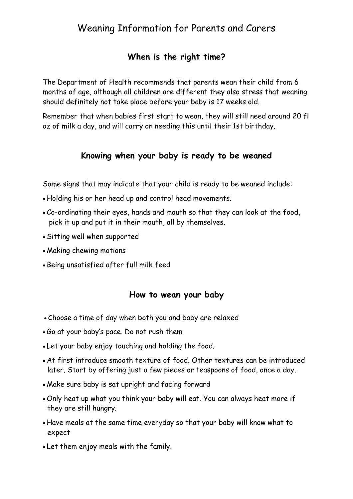# Weaning Information for Parents and Carers

# **When is the right time?**

The Department of Health recommends that parents wean their child from 6 months of age, although all children are different they also stress that weaning should definitely not take place before your baby is 17 weeks old.

Remember that when babies first start to wean, they will still need around 20 fl oz of milk a day, and will carry on needing this until their 1st birthday.

## **Knowing when your baby is ready to be weaned**

Some signs that may indicate that your child is ready to be weaned include:

- Holding his or her head up and control head movements.
- Co-ordinating their eyes, hands and mouth so that they can look at the food, pick it up and put it in their mouth, all by themselves.
- Sitting well when supported
- Making chewing motions
- Being unsatisfied after full milk feed

### **How to wean your baby**

- Choose a time of day when both you and baby are relaxed
- Go at your baby's pace. Do not rush them
- Let your baby enjoy touching and holding the food.
- At first introduce smooth texture of food. Other textures can be introduced later. Start by offering just a few pieces or teaspoons of food, once a day.
- Make sure baby is sat upright and facing forward
- Only heat up what you think your baby will eat. You can always heat more if they are still hungry.
- Have meals at the same time everyday so that your baby will know what to expect
- Let them enjoy meals with the family.